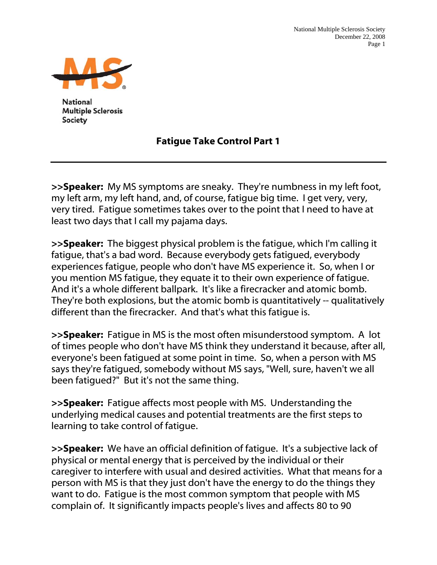

**National Multiple Sclerosis Society** 

## Fatigue Take Control Part 1

>>Speaker: My MS symptoms are sneaky. They're numbness in my left foot, my left arm, my left hand, and, of course, fatigue big time. I get very, very, very tired. Fatigue sometimes takes over to the point that I need to have at least two days that I call my pajama days.

>>Speaker: The biggest physical problem is the fatigue, which I'm calling it fatigue, that's a bad word. Because everybody gets fatigued, everybody experiences fatigue, people who don't have MS experience it. So, when I or you mention MS fatigue, they equate it to their own experience of fatigue. And it's a whole different ballpark. It's like a firecracker and atomic bomb. They're both explosions, but the atomic bomb is quantitatively -- qualitatively different than the firecracker. And that's what this fatigue is.

>>Speaker: Fatigue in MS is the most often misunderstood symptom. A lot of times people who don't have MS think they understand it because, after all, everyone's been fatigued at some point in time. So, when a person with MS says they're fatigued, somebody without MS says, "Well, sure, haven't we all been fatigued?" But it's not the same thing.

>>Speaker: Fatigue affects most people with MS. Understanding the underlying medical causes and potential treatments are the first steps to learning to take control of fatigue.

>>Speaker: We have an official definition of fatique. It's a subjective lack of physical or mental energy that is perceived by the individual or their caregiver to interfere with usual and desired activities. What that means for a person with MS is that they just don't have the energy to do the things they want to do. Fatigue is the most common symptom that people with MS complain of. It significantly impacts people's lives and affects 80 to 90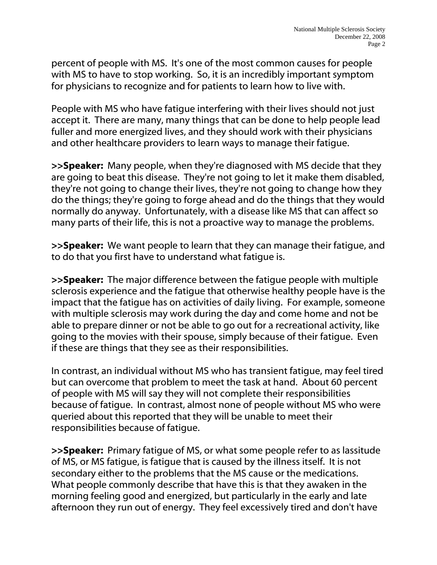percent of people with MS. It's one of the most common causes for people with MS to have to stop working. So, it is an incredibly important symptom for physicians to recognize and for patients to learn how to live with.

People with MS who have fatigue interfering with their lives should not just accept it. There are many, many things that can be done to help people lead fuller and more energized lives, and they should work with their physicians and other healthcare providers to learn ways to manage their fatigue.

>>Speaker: Many people, when they're diagnosed with MS decide that they are going to beat this disease. They're not going to let it make them disabled, they're not going to change their lives, they're not going to change how they do the things; they're going to forge ahead and do the things that they would normally do anyway. Unfortunately, with a disease like MS that can affect so many parts of their life, this is not a proactive way to manage the problems.

>>Speaker: We want people to learn that they can manage their fatique, and to do that you first have to understand what fatigue is.

>>Speaker: The major difference between the fatigue people with multiple sclerosis experience and the fatigue that otherwise healthy people have is the impact that the fatigue has on activities of daily living. For example, someone with multiple sclerosis may work during the day and come home and not be able to prepare dinner or not be able to go out for a recreational activity, like going to the movies with their spouse, simply because of their fatigue. Even if these are things that they see as their responsibilities.

In contrast, an individual without MS who has transient fatigue, may feel tired but can overcome that problem to meet the task at hand. About 60 percent of people with MS will say they will not complete their responsibilities because of fatigue. In contrast, almost none of people without MS who were queried about this reported that they will be unable to meet their responsibilities because of fatigue.

>>Speaker: Primary fatigue of MS, or what some people refer to as lassitude of MS, or MS fatigue, is fatigue that is caused by the illness itself. It is not secondary either to the problems that the MS cause or the medications. What people commonly describe that have this is that they awaken in the morning feeling good and energized, but particularly in the early and late afternoon they run out of energy. They feel excessively tired and don't have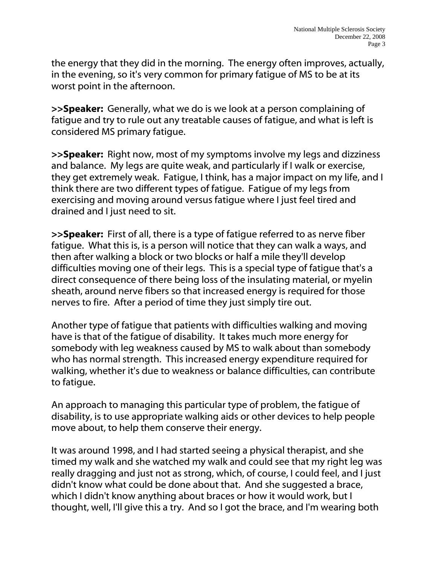the energy that they did in the morning. The energy often improves, actually, in the evening, so it's very common for primary fatigue of MS to be at its worst point in the afternoon.

**>>Speaker:** Generally, what we do is we look at a person complaining of fatigue and try to rule out any treatable causes of fatigue, and what is left is considered MS primary fatigue.

>>Speaker: Right now, most of my symptoms involve my legs and dizziness and balance. My legs are quite weak, and particularly if I walk or exercise, they get extremely weak. Fatigue, I think, has a major impact on my life, and I think there are two different types of fatigue. Fatigue of my legs from exercising and moving around versus fatigue where I just feel tired and drained and I just need to sit.

>>Speaker: First of all, there is a type of fatique referred to as nerve fiber fatigue. What this is, is a person will notice that they can walk a ways, and then after walking a block or two blocks or half a mile they'll develop difficulties moving one of their legs. This is a special type of fatigue that's a direct consequence of there being loss of the insulating material, or myelin sheath, around nerve fibers so that increased energy is required for those nerves to fire. After a period of time they just simply tire out.

Another type of fatigue that patients with difficulties walking and moving have is that of the fatigue of disability. It takes much more energy for somebody with leg weakness caused by MS to walk about than somebody who has normal strength. This increased energy expenditure required for walking, whether it's due to weakness or balance difficulties, can contribute to fatigue.

An approach to managing this particular type of problem, the fatigue of disability, is to use appropriate walking aids or other devices to help people move about, to help them conserve their energy.

It was around 1998, and I had started seeing a physical therapist, and she timed my walk and she watched my walk and could see that my right leg was really dragging and just not as strong, which, of course, I could feel, and I just didn't know what could be done about that. And she suggested a brace, which I didn't know anything about braces or how it would work, but I thought, well, I'll give this a try. And so I got the brace, and I'm wearing both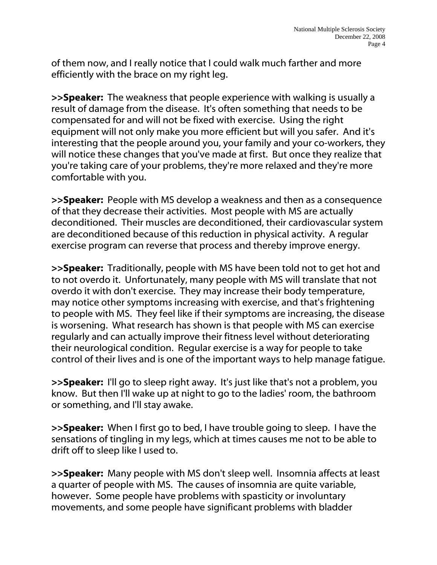of them now, and I really notice that I could walk much farther and more efficiently with the brace on my right leg.

>>Speaker: The weakness that people experience with walking is usually a result of damage from the disease. It's often something that needs to be compensated for and will not be fixed with exercise. Using the right equipment will not only make you more efficient but will you safer. And it's interesting that the people around you, your family and your co-workers, they will notice these changes that you've made at first. But once they realize that you're taking care of your problems, they're more relaxed and they're more comfortable with you.

>>Speaker: People with MS develop a weakness and then as a consequence of that they decrease their activities. Most people with MS are actually deconditioned. Their muscles are deconditioned, their cardiovascular system are deconditioned because of this reduction in physical activity. A regular exercise program can reverse that process and thereby improve energy.

>>Speaker: Traditionally, people with MS have been told not to get hot and to not overdo it. Unfortunately, many people with MS will translate that not overdo it with don't exercise. They may increase their body temperature, may notice other symptoms increasing with exercise, and that's frightening to people with MS. They feel like if their symptoms are increasing, the disease is worsening. What research has shown is that people with MS can exercise regularly and can actually improve their fitness level without deteriorating their neurological condition. Regular exercise is a way for people to take control of their lives and is one of the important ways to help manage fatigue.

>>Speaker: I'll go to sleep right away. It's just like that's not a problem, you know. But then I'll wake up at night to go to the ladies' room, the bathroom or something, and I'll stay awake.

>>Speaker: When I first go to bed, I have trouble going to sleep. I have the sensations of tingling in my legs, which at times causes me not to be able to drift off to sleep like I used to.

>>Speaker: Many people with MS don't sleep well. Insomnia affects at least a quarter of people with MS. The causes of insomnia are quite variable, however. Some people have problems with spasticity or involuntary movements, and some people have significant problems with bladder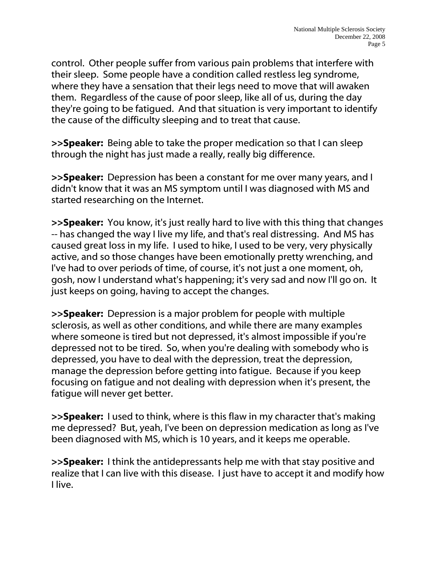control. Other people suffer from various pain problems that interfere with their sleep. Some people have a condition called restless leg syndrome, where they have a sensation that their legs need to move that will awaken them. Regardless of the cause of poor sleep, like all of us, during the day they're going to be fatigued. And that situation is very important to identify the cause of the difficulty sleeping and to treat that cause.

>>Speaker: Being able to take the proper medication so that I can sleep through the night has just made a really, really big difference.

>>Speaker: Depression has been a constant for me over many years, and I didn't know that it was an MS symptom until I was diagnosed with MS and started researching on the Internet.

>>Speaker: You know, it's just really hard to live with this thing that changes -- has changed the way I live my life, and that's real distressing. And MS has caused great loss in my life. I used to hike, I used to be very, very physically active, and so those changes have been emotionally pretty wrenching, and I've had to over periods of time, of course, it's not just a one moment, oh, gosh, now I understand what's happening; it's very sad and now I'll go on. It just keeps on going, having to accept the changes.

>>Speaker: Depression is a major problem for people with multiple sclerosis, as well as other conditions, and while there are many examples where someone is tired but not depressed, it's almost impossible if you're depressed not to be tired. So, when you're dealing with somebody who is depressed, you have to deal with the depression, treat the depression, manage the depression before getting into fatigue. Because if you keep focusing on fatigue and not dealing with depression when it's present, the fatigue will never get better.

>>Speaker: I used to think, where is this flaw in my character that's making me depressed? But, yeah, I've been on depression medication as long as I've been diagnosed with MS, which is 10 years, and it keeps me operable.

**>>Speaker:** I think the antidepressants help me with that stay positive and realize that I can live with this disease. I just have to accept it and modify how I live.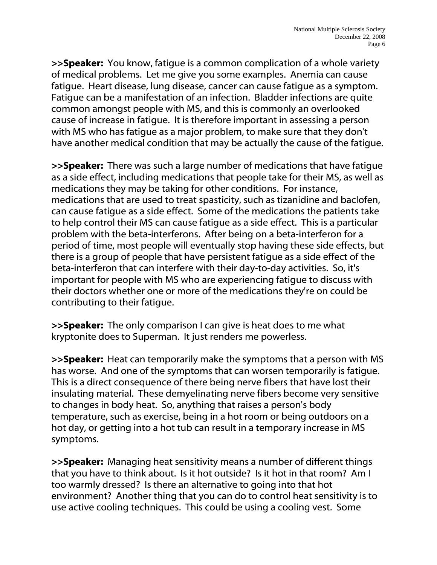>>Speaker: You know, fatigue is a common complication of a whole variety of medical problems. Let me give you some examples. Anemia can cause fatigue. Heart disease, lung disease, cancer can cause fatigue as a symptom. Fatigue can be a manifestation of an infection. Bladder infections are quite common amongst people with MS, and this is commonly an overlooked cause of increase in fatigue. It is therefore important in assessing a person with MS who has fatigue as a major problem, to make sure that they don't have another medical condition that may be actually the cause of the fatigue.

>>Speaker: There was such a large number of medications that have fatique as a side effect, including medications that people take for their MS, as well as medications they may be taking for other conditions. For instance, medications that are used to treat spasticity, such as tizanidine and baclofen, can cause fatigue as a side effect. Some of the medications the patients take to help control their MS can cause fatigue as a side effect. This is a particular problem with the beta-interferons. After being on a beta-interferon for a period of time, most people will eventually stop having these side effects, but there is a group of people that have persistent fatigue as a side effect of the beta-interferon that can interfere with their day-to-day activities. So, it's important for people with MS who are experiencing fatigue to discuss with their doctors whether one or more of the medications they're on could be contributing to their fatigue.

>>Speaker: The only comparison I can give is heat does to me what kryptonite does to Superman. It just renders me powerless.

>>Speaker: Heat can temporarily make the symptoms that a person with MS has worse. And one of the symptoms that can worsen temporarily is fatigue. This is a direct consequence of there being nerve fibers that have lost their insulating material. These demyelinating nerve fibers become very sensitive to changes in body heat. So, anything that raises a person's body temperature, such as exercise, being in a hot room or being outdoors on a hot day, or getting into a hot tub can result in a temporary increase in MS symptoms.

>>Speaker: Managing heat sensitivity means a number of different things that you have to think about. Is it hot outside? Is it hot in that room? Am I too warmly dressed? Is there an alternative to going into that hot environment? Another thing that you can do to control heat sensitivity is to use active cooling techniques. This could be using a cooling vest. Some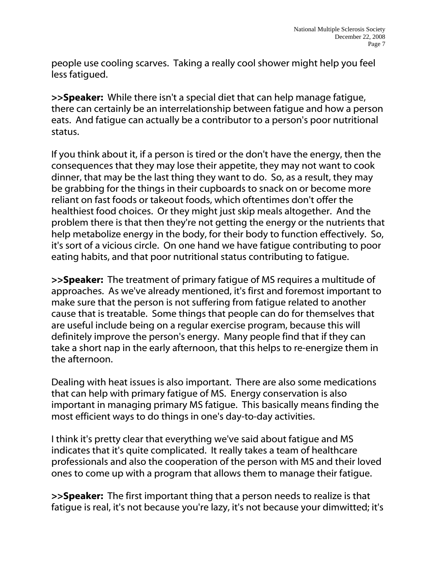people use cooling scarves. Taking a really cool shower might help you feel less fatigued.

>>Speaker: While there isn't a special diet that can help manage fatigue, there can certainly be an interrelationship between fatigue and how a person eats. And fatigue can actually be a contributor to a person's poor nutritional status.

If you think about it, if a person is tired or the don't have the energy, then the consequences that they may lose their appetite, they may not want to cook dinner, that may be the last thing they want to do. So, as a result, they may be grabbing for the things in their cupboards to snack on or become more reliant on fast foods or takeout foods, which oftentimes don't offer the healthiest food choices. Or they might just skip meals altogether. And the problem there is that then they're not getting the energy or the nutrients that help metabolize energy in the body, for their body to function effectively. So, it's sort of a vicious circle. On one hand we have fatigue contributing to poor eating habits, and that poor nutritional status contributing to fatigue.

>>Speaker: The treatment of primary fatigue of MS requires a multitude of approaches. As we've already mentioned, it's first and foremost important to make sure that the person is not suffering from fatigue related to another cause that is treatable. Some things that people can do for themselves that are useful include being on a regular exercise program, because this will definitely improve the person's energy. Many people find that if they can take a short nap in the early afternoon, that this helps to re-energize them in the afternoon.

Dealing with heat issues is also important. There are also some medications that can help with primary fatigue of MS. Energy conservation is also important in managing primary MS fatigue. This basically means finding the most efficient ways to do things in one's day-to-day activities.

I think it's pretty clear that everything we've said about fatigue and MS indicates that it's quite complicated. It really takes a team of healthcare professionals and also the cooperation of the person with MS and their loved ones to come up with a program that allows them to manage their fatigue.

>>Speaker: The first important thing that a person needs to realize is that fatigue is real, it's not because you're lazy, it's not because your dimwitted; it's